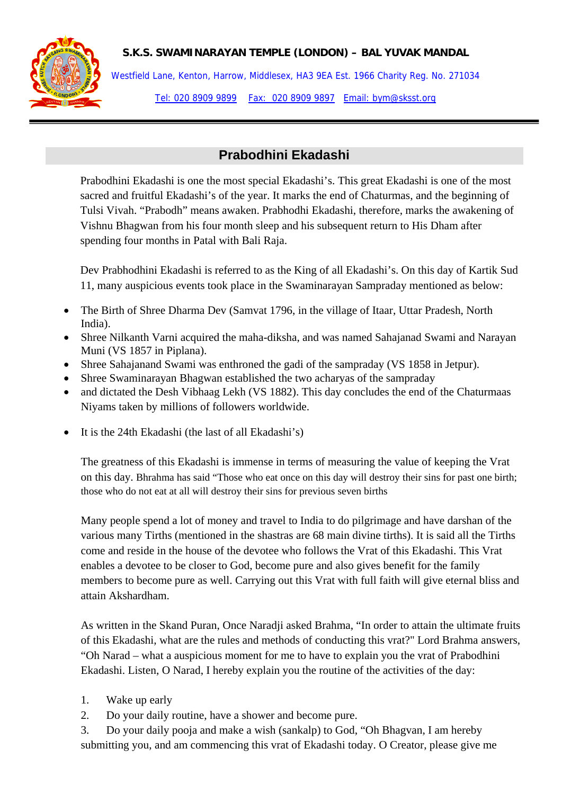## **S.K.S. SWAMINARAYAN TEMPLE (LONDON) – BAL YUVAK MANDAL**



Westfield Lane, Kenton, Harrow, Middlesex, HA3 9EA Est. 1966 Charity Reg. No. 271034 Tel: 020 8909 9899 Fax: 020 8909 9897 Email: bym@sksst.org

## **Prabodhini Ekadashi**

Prabodhini Ekadashi is one the most special Ekadashi's. This great Ekadashi is one of the most sacred and fruitful Ekadashi's of the year. It marks the end of Chaturmas, and the beginning of Tulsi Vivah. "Prabodh" means awaken. Prabhodhi Ekadashi, therefore, marks the awakening of Vishnu Bhagwan from his four month sleep and his subsequent return to His Dham after spending four months in Patal with Bali Raja.

Dev Prabhodhini Ekadashi is referred to as the King of all Ekadashi's. On this day of Kartik Sud 11, many auspicious events took place in the Swaminarayan Sampraday mentioned as below:

- The Birth of Shree Dharma Dev (Samvat 1796, in the village of Itaar, Uttar Pradesh, North India).
- Shree Nilkanth Varni acquired the maha-diksha, and was named Sahajanad Swami and Narayan Muni (VS 1857 in Piplana).
- Shree Sahajanand Swami was enthroned the gadi of the sampraday (VS 1858 in Jetpur).
- Shree Swaminarayan Bhagwan established the two acharyas of the sampraday
- and dictated the Desh Vibhaag Lekh (VS 1882). This day concludes the end of the Chaturmaas Niyams taken by millions of followers worldwide.
- It is the 24th Ekadashi (the last of all Ekadashi's)

The greatness of this Ekadashi is immense in terms of measuring the value of keeping the Vrat on this day. Bhrahma has said "Those who eat once on this day will destroy their sins for past one birth; those who do not eat at all will destroy their sins for previous seven births

Many people spend a lot of money and travel to India to do pilgrimage and have darshan of the various many Tirths (mentioned in the shastras are 68 main divine tirths). It is said all the Tirths come and reside in the house of the devotee who follows the Vrat of this Ekadashi. This Vrat enables a devotee to be closer to God, become pure and also gives benefit for the family members to become pure as well. Carrying out this Vrat with full faith will give eternal bliss and attain Akshardham.

As written in the Skand Puran, Once Naradji asked Brahma, "In order to attain the ultimate fruits of this Ekadashi, what are the rules and methods of conducting this vrat?" Lord Brahma answers, "Oh Narad – what a auspicious moment for me to have to explain you the vrat of Prabodhini Ekadashi. Listen, O Narad, I hereby explain you the routine of the activities of the day:

- 1. Wake up early
- 2. Do your daily routine, have a shower and become pure.
- 3. Do your daily pooja and make a wish (sankalp) to God, "Oh Bhagvan, I am hereby submitting you, and am commencing this vrat of Ekadashi today. O Creator, please give me